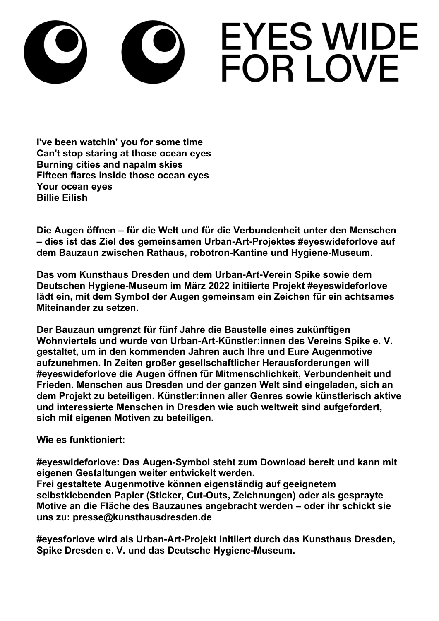## **EYES WIDE** FOR LOVE

**I've been watchin' you for some time Can't stop staring at those ocean eyes Burning cities and napalm skies Fifteen flares inside those ocean eyes Your ocean eyes Billie Eilish**

**Die Augen öffnen – für die Welt und für die Verbundenheit unter den Menschen – dies ist das Ziel des gemeinsamen Urban-Art-Projektes #eyeswideforlove auf dem Bauzaun zwischen Rathaus, robotron-Kantine und Hygiene-Museum.**

**Das vom Kunsthaus Dresden und dem Urban-Art-Verein Spike sowie dem Deutschen Hygiene-Museum im März 2022 initiierte Projekt #eyeswideforlove lädt ein, mit dem Symbol der Augen gemeinsam ein Zeichen für ein achtsames Miteinander zu setzen.**

**Der Bauzaun umgrenzt für fünf Jahre die Baustelle eines zukünftigen Wohnviertels und wurde von Urban-Art-Künstler:innen des Vereins Spike e. V. gestaltet, um in den kommenden Jahren auch Ihre und Eure Augenmotive aufzunehmen. In Zeiten großer gesellschaftlicher Herausforderungen will #eyeswideforlove die Augen öffnen für Mitmenschlichkeit, Verbundenheit und Frieden. Menschen aus Dresden und der ganzen Welt sind eingeladen, sich an dem Projekt zu beteiligen. Künstler:innen aller Genres sowie künstlerisch aktive und interessierte Menschen in Dresden wie auch weltweit sind aufgefordert, sich mit eigenen Motiven zu beteiligen.**

**Wie es funktioniert:**

**#eyeswideforlove: Das Augen-Symbol steht zum Download bereit und kann mit eigenen Gestaltungen weiter entwickelt werden. Frei gestaltete Augenmotive können eigenständig auf geeignetem selbstklebenden Papier (Sticker, Cut-Outs, Zeichnungen) oder als gesprayte Motive an die Fläche des Bauzaunes angebracht werden – oder ihr schickt sie uns zu: presse@kunsthausdresden.de**

**#eyesforlove wird als Urban-Art-Projekt initiiert durch das Kunsthaus Dresden, Spike Dresden e. V. und das Deutsche Hygiene-Museum.**